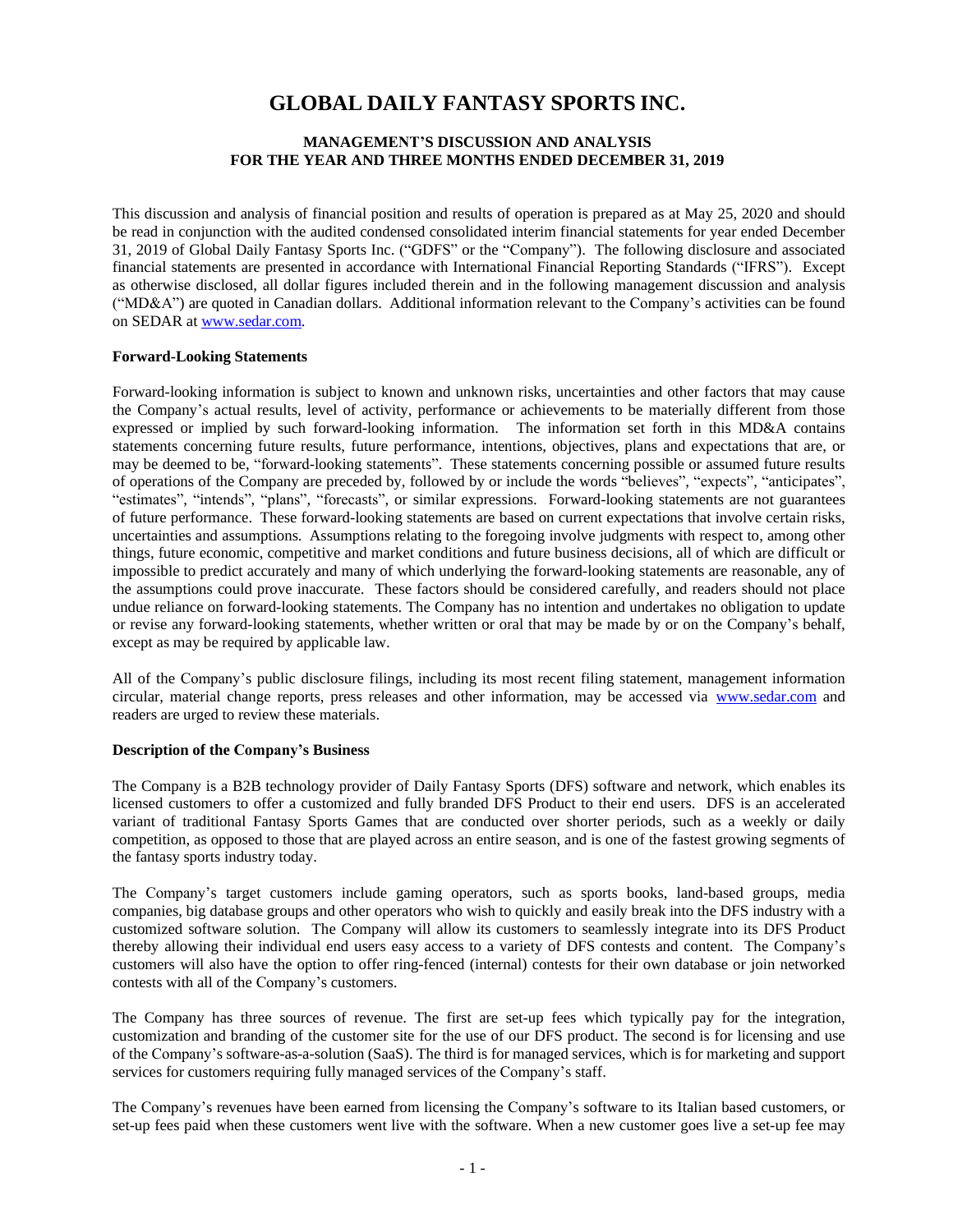# **GLOBAL DAILY FANTASY SPORTS INC.**

# **MANAGEMENT'S DISCUSSION AND ANALYSIS FOR THE YEAR AND THREE MONTHS ENDED DECEMBER 31, 2019**

This discussion and analysis of financial position and results of operation is prepared as at May 25, 2020 and should be read in conjunction with the audited condensed consolidated interim financial statements for year ended December 31, 2019 of Global Daily Fantasy Sports Inc. ("GDFS" or the "Company"). The following disclosure and associated financial statements are presented in accordance with International Financial Reporting Standards ("IFRS"). Except as otherwise disclosed, all dollar figures included therein and in the following management discussion and analysis ("MD&A") are quoted in Canadian dollars. Additional information relevant to the Company's activities can be found on SEDAR at [www.sedar.com.](http://www.sedar.com/)

#### **Forward-Looking Statements**

Forward-looking information is subject to known and unknown risks, uncertainties and other factors that may cause the Company's actual results, level of activity, performance or achievements to be materially different from those expressed or implied by such forward-looking information. The information set forth in this MD&A contains statements concerning future results, future performance, intentions, objectives, plans and expectations that are, or may be deemed to be, "forward-looking statements". These statements concerning possible or assumed future results of operations of the Company are preceded by, followed by or include the words "believes", "expects", "anticipates", "estimates", "intends", "plans", "forecasts", or similar expressions. Forward-looking statements are not guarantees of future performance. These forward-looking statements are based on current expectations that involve certain risks, uncertainties and assumptions. Assumptions relating to the foregoing involve judgments with respect to, among other things, future economic, competitive and market conditions and future business decisions, all of which are difficult or impossible to predict accurately and many of which underlying the forward-looking statements are reasonable, any of the assumptions could prove inaccurate. These factors should be considered carefully, and readers should not place undue reliance on forward-looking statements. The Company has no intention and undertakes no obligation to update or revise any forward-looking statements, whether written or oral that may be made by or on the Company's behalf, except as may be required by applicable law.

All of the Company's public disclosure filings, including its most recent filing statement, management information circular, material change reports, press releases and other information, may be accessed via [www.sedar.com](http://www.sedar.com/) and readers are urged to review these materials.

#### **Description of the Company's Business**

The Company is a B2B technology provider of Daily Fantasy Sports (DFS) software and network, which enables its licensed customers to offer a customized and fully branded DFS Product to their end users. DFS is an accelerated variant of traditional Fantasy Sports Games that are conducted over shorter periods, such as a weekly or daily competition, as opposed to those that are played across an entire season, and is one of the fastest growing segments of the fantasy sports industry today.

The Company's target customers include gaming operators, such as sports books, land-based groups, media companies, big database groups and other operators who wish to quickly and easily break into the DFS industry with a customized software solution. The Company will allow its customers to seamlessly integrate into its DFS Product thereby allowing their individual end users easy access to a variety of DFS contests and content. The Company's customers will also have the option to offer ring-fenced (internal) contests for their own database or join networked contests with all of the Company's customers.

The Company has three sources of revenue. The first are set-up fees which typically pay for the integration, customization and branding of the customer site for the use of our DFS product. The second is for licensing and use of the Company's software-as-a-solution (SaaS). The third is for managed services, which is for marketing and support services for customers requiring fully managed services of the Company's staff.

The Company's revenues have been earned from licensing the Company's software to its Italian based customers, or set-up fees paid when these customers went live with the software. When a new customer goes live a set-up fee may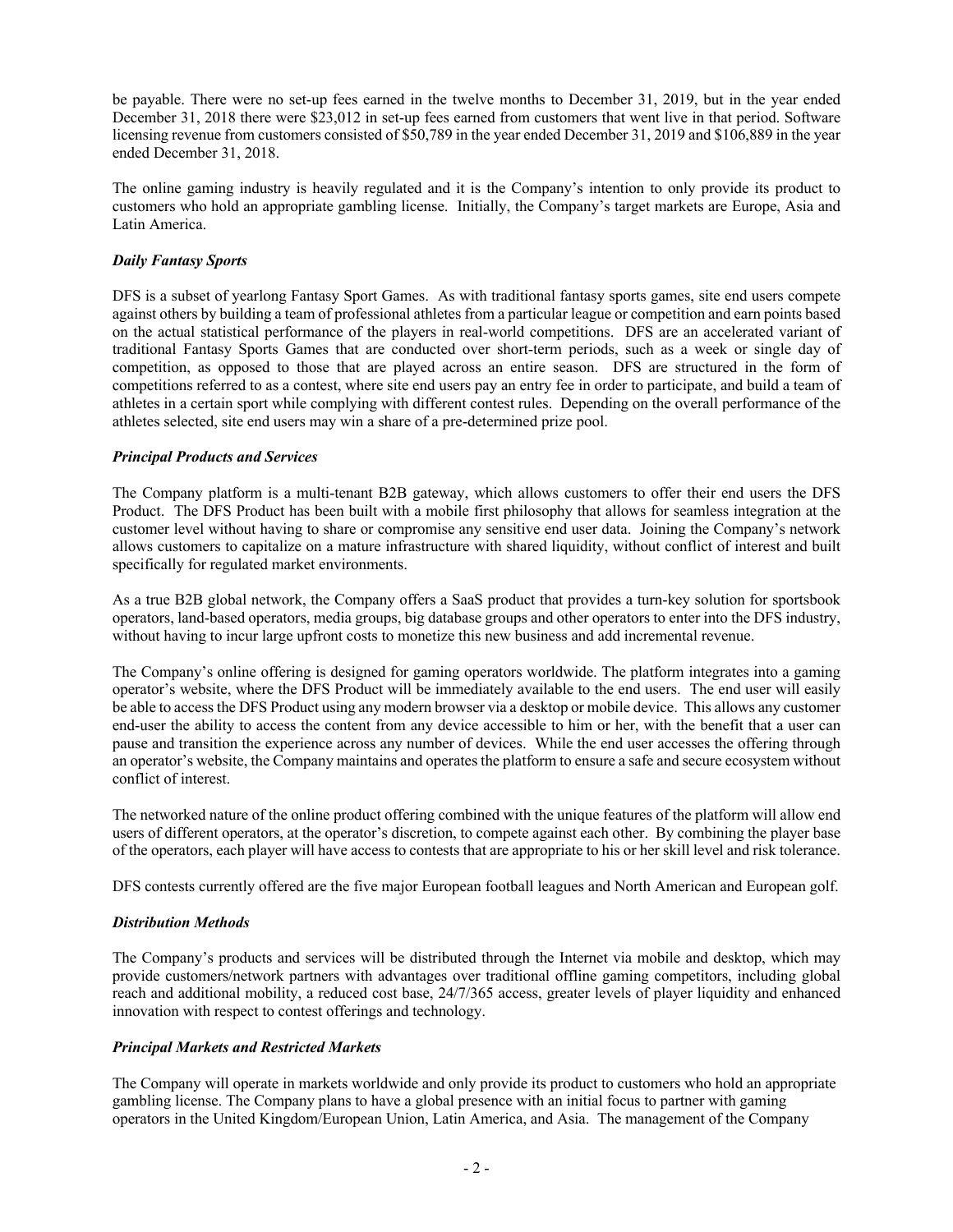be payable. There were no set-up fees earned in the twelve months to December 31, 2019, but in the year ended December 31, 2018 there were \$23,012 in set-up fees earned from customers that went live in that period. Software licensing revenue from customers consisted of \$50,789 in the year ended December 31, 2019 and \$106,889 in the year ended December 31, 2018.

The online gaming industry is heavily regulated and it is the Company's intention to only provide its product to customers who hold an appropriate gambling license. Initially, the Company's target markets are Europe, Asia and Latin America.

# *Daily Fantasy Sports*

DFS is a subset of yearlong Fantasy Sport Games. As with traditional fantasy sports games, site end users compete against others by building a team of professional athletes from a particular league or competition and earn points based on the actual statistical performance of the players in real-world competitions. DFS are an accelerated variant of traditional Fantasy Sports Games that are conducted over short-term periods, such as a week or single day of competition, as opposed to those that are played across an entire season. DFS are structured in the form of competitions referred to as a contest, where site end users pay an entry fee in order to participate, and build a team of athletes in a certain sport while complying with different contest rules. Depending on the overall performance of the athletes selected, site end users may win a share of a pre-determined prize pool.

# *Principal Products and Services*

The Company platform is a multi-tenant B2B gateway, which allows customers to offer their end users the DFS Product. The DFS Product has been built with a mobile first philosophy that allows for seamless integration at the customer level without having to share or compromise any sensitive end user data. Joining the Company's network allows customers to capitalize on a mature infrastructure with shared liquidity, without conflict of interest and built specifically for regulated market environments.

As a true B2B global network, the Company offers a SaaS product that provides a turn-key solution for sportsbook operators, land-based operators, media groups, big database groups and other operators to enter into the DFS industry, without having to incur large upfront costs to monetize this new business and add incremental revenue.

The Company's online offering is designed for gaming operators worldwide. The platform integrates into a gaming operator's website, where the DFS Product will be immediately available to the end users. The end user will easily be able to access the DFS Product using any modern browser via a desktop or mobile device. This allows any customer end-user the ability to access the content from any device accessible to him or her, with the benefit that a user can pause and transition the experience across any number of devices. While the end user accesses the offering through an operator's website, the Company maintains and operates the platform to ensure a safe and secure ecosystem without conflict of interest.

The networked nature of the online product offering combined with the unique features of the platform will allow end users of different operators, at the operator's discretion, to compete against each other. By combining the player base of the operators, each player will have access to contests that are appropriate to his or her skill level and risk tolerance.

DFS contests currently offered are the five major European football leagues and North American and European golf.

# *Distribution Methods*

The Company's products and services will be distributed through the Internet via mobile and desktop, which may provide customers/network partners with advantages over traditional offline gaming competitors, including global reach and additional mobility, a reduced cost base, 24/7/365 access, greater levels of player liquidity and enhanced innovation with respect to contest offerings and technology.

# *Principal Markets and Restricted Markets*

The Company will operate in markets worldwide and only provide its product to customers who hold an appropriate gambling license. The Company plans to have a global presence with an initial focus to partner with gaming operators in the United Kingdom/European Union, Latin America, and Asia. The management of the Company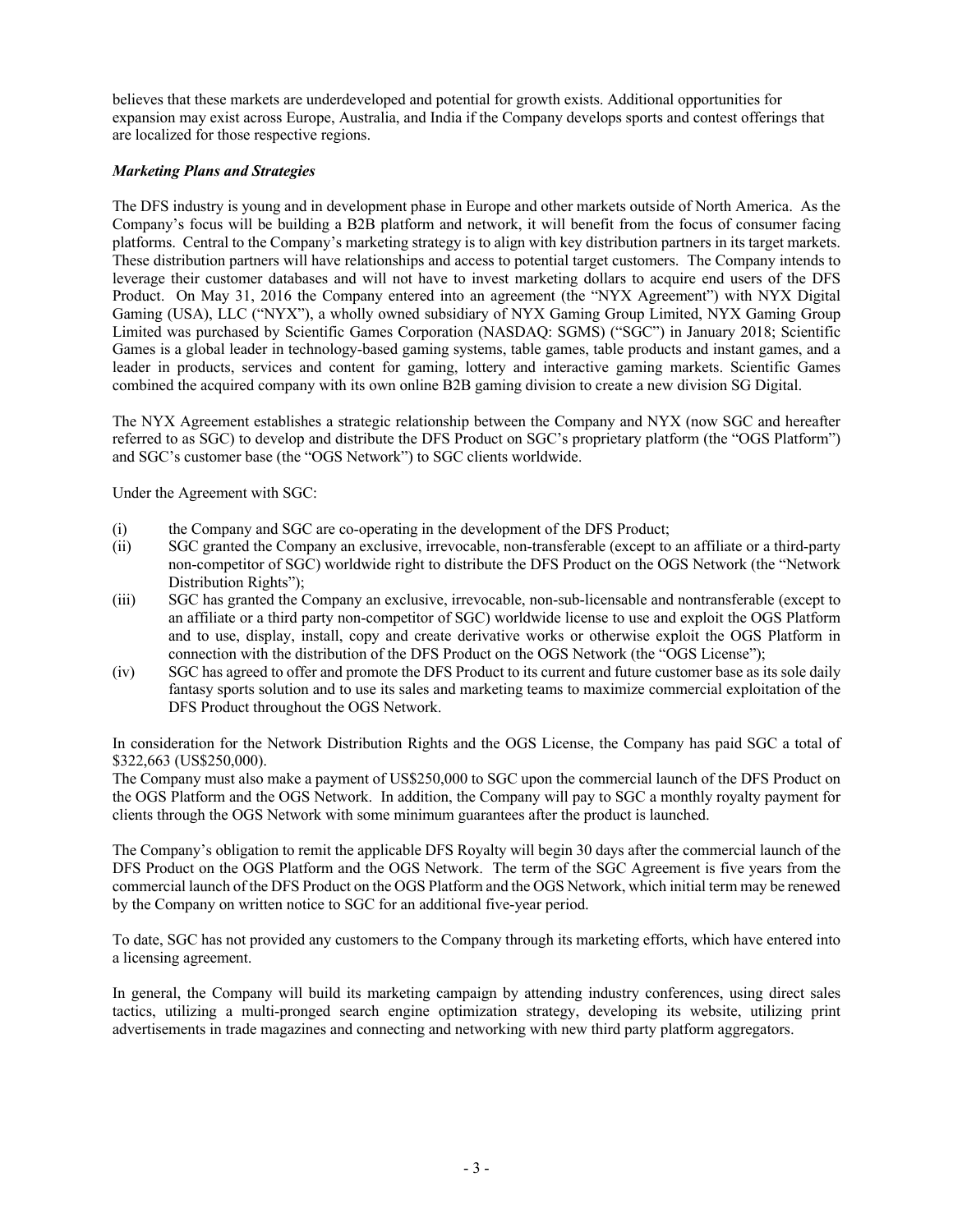believes that these markets are underdeveloped and potential for growth exists. Additional opportunities for expansion may exist across Europe, Australia, and India if the Company develops sports and contest offerings that are localized for those respective regions.

# *Marketing Plans and Strategies*

The DFS industry is young and in development phase in Europe and other markets outside of North America. As the Company's focus will be building a B2B platform and network, it will benefit from the focus of consumer facing platforms. Central to the Company's marketing strategy is to align with key distribution partners in its target markets. These distribution partners will have relationships and access to potential target customers. The Company intends to leverage their customer databases and will not have to invest marketing dollars to acquire end users of the DFS Product. On May 31, 2016 the Company entered into an agreement (the "NYX Agreement") with NYX Digital Gaming (USA), LLC ("NYX"), a wholly owned subsidiary of NYX Gaming Group Limited, NYX Gaming Group Limited was purchased by Scientific Games Corporation (NASDAQ: SGMS) ("SGC") in January 2018; Scientific Games is a global leader in technology-based gaming systems, table games, table products and instant games, and a leader in products, services and content for gaming, lottery and interactive gaming markets. Scientific Games combined the acquired company with its own online B2B gaming division to create a new division SG Digital.

The NYX Agreement establishes a strategic relationship between the Company and NYX (now SGC and hereafter referred to as SGC) to develop and distribute the DFS Product on SGC's proprietary platform (the "OGS Platform") and SGC's customer base (the "OGS Network") to SGC clients worldwide.

Under the Agreement with SGC:

- (i) the Company and SGC are co-operating in the development of the DFS Product;
- (ii) SGC granted the Company an exclusive, irrevocable, non-transferable (except to an affiliate or a third-party non-competitor of SGC) worldwide right to distribute the DFS Product on the OGS Network (the "Network Distribution Rights");
- (iii) SGC has granted the Company an exclusive, irrevocable, non-sub-licensable and nontransferable (except to an affiliate or a third party non-competitor of SGC) worldwide license to use and exploit the OGS Platform and to use, display, install, copy and create derivative works or otherwise exploit the OGS Platform in connection with the distribution of the DFS Product on the OGS Network (the "OGS License");
- (iv) SGC has agreed to offer and promote the DFS Product to its current and future customer base as its sole daily fantasy sports solution and to use its sales and marketing teams to maximize commercial exploitation of the DFS Product throughout the OGS Network.

In consideration for the Network Distribution Rights and the OGS License, the Company has paid SGC a total of \$322,663 (US\$250,000).

The Company must also make a payment of US\$250,000 to SGC upon the commercial launch of the DFS Product on the OGS Platform and the OGS Network. In addition, the Company will pay to SGC a monthly royalty payment for clients through the OGS Network with some minimum guarantees after the product is launched.

The Company's obligation to remit the applicable DFS Royalty will begin 30 days after the commercial launch of the DFS Product on the OGS Platform and the OGS Network. The term of the SGC Agreement is five years from the commercial launch of the DFS Product on the OGS Platform and the OGS Network, which initial term may be renewed by the Company on written notice to SGC for an additional five-year period.

To date, SGC has not provided any customers to the Company through its marketing efforts, which have entered into a licensing agreement.

In general, the Company will build its marketing campaign by attending industry conferences, using direct sales tactics, utilizing a multi-pronged search engine optimization strategy, developing its website, utilizing print advertisements in trade magazines and connecting and networking with new third party platform aggregators.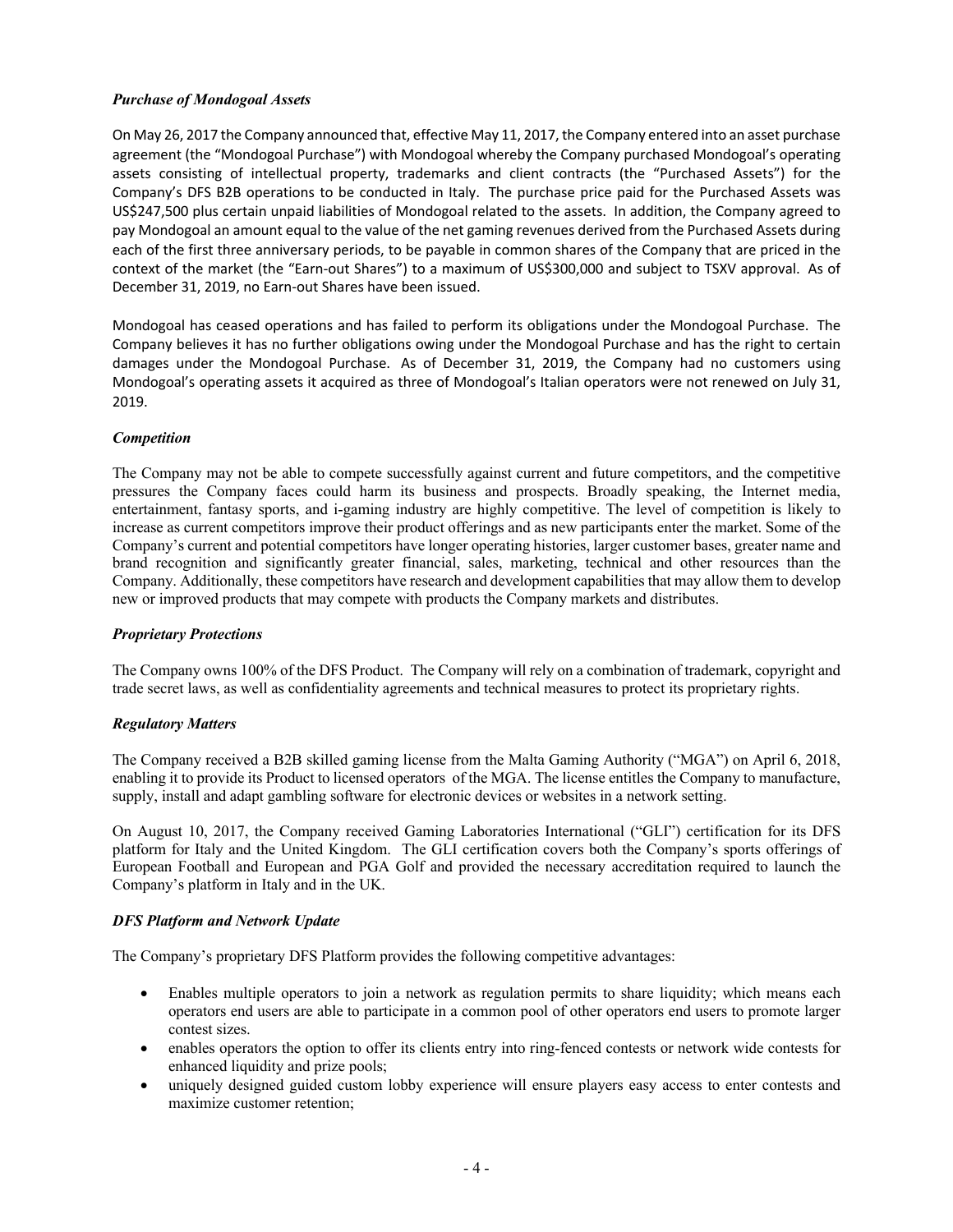# *Purchase of Mondogoal Assets*

On May 26, 2017 the Company announced that, effective May 11, 2017, the Company entered into an asset purchase agreement (the "Mondogoal Purchase") with Mondogoal whereby the Company purchased Mondogoal's operating assets consisting of intellectual property, trademarks and client contracts (the "Purchased Assets") for the Company's DFS B2B operations to be conducted in Italy. The purchase price paid for the Purchased Assets was US\$247,500 plus certain unpaid liabilities of Mondogoal related to the assets. In addition, the Company agreed to pay Mondogoal an amount equal to the value of the net gaming revenues derived from the Purchased Assets during each of the first three anniversary periods, to be payable in common shares of the Company that are priced in the context of the market (the "Earn-out Shares") to a maximum of US\$300,000 and subject to TSXV approval. As of December 31, 2019, no Earn-out Shares have been issued.

Mondogoal has ceased operations and has failed to perform its obligations under the Mondogoal Purchase. The Company believes it has no further obligations owing under the Mondogoal Purchase and has the right to certain damages under the Mondogoal Purchase. As of December 31, 2019, the Company had no customers using Mondogoal's operating assets it acquired as three of Mondogoal's Italian operators were not renewed on July 31, 2019.

# *Competition*

The Company may not be able to compete successfully against current and future competitors, and the competitive pressures the Company faces could harm its business and prospects. Broadly speaking, the Internet media, entertainment, fantasy sports, and i-gaming industry are highly competitive. The level of competition is likely to increase as current competitors improve their product offerings and as new participants enter the market. Some of the Company's current and potential competitors have longer operating histories, larger customer bases, greater name and brand recognition and significantly greater financial, sales, marketing, technical and other resources than the Company. Additionally, these competitors have research and development capabilities that may allow them to develop new or improved products that may compete with products the Company markets and distributes.

# *Proprietary Protections*

The Company owns 100% of the DFS Product. The Company will rely on a combination of trademark, copyright and trade secret laws, as well as confidentiality agreements and technical measures to protect its proprietary rights.

# *Regulatory Matters*

The Company received a B2B skilled gaming license from the Malta Gaming Authority ("MGA") on April 6, 2018, enabling it to provide its Product to licensed operators of the MGA. The license entitles the Company to manufacture, supply, install and adapt gambling software for electronic devices or websites in a network setting.

On August 10, 2017, the Company received Gaming Laboratories International ("GLI") certification for its DFS platform for Italy and the United Kingdom. The GLI certification covers both the Company's sports offerings of European Football and European and PGA Golf and provided the necessary accreditation required to launch the Company's platform in Italy and in the UK.

# *DFS Platform and Network Update*

The Company's proprietary DFS Platform provides the following competitive advantages:

- Enables multiple operators to join a network as regulation permits to share liquidity; which means each operators end users are able to participate in a common pool of other operators end users to promote larger contest sizes.
- enables operators the option to offer its clients entry into ring-fenced contests or network wide contests for enhanced liquidity and prize pools;
- uniquely designed guided custom lobby experience will ensure players easy access to enter contests and maximize customer retention;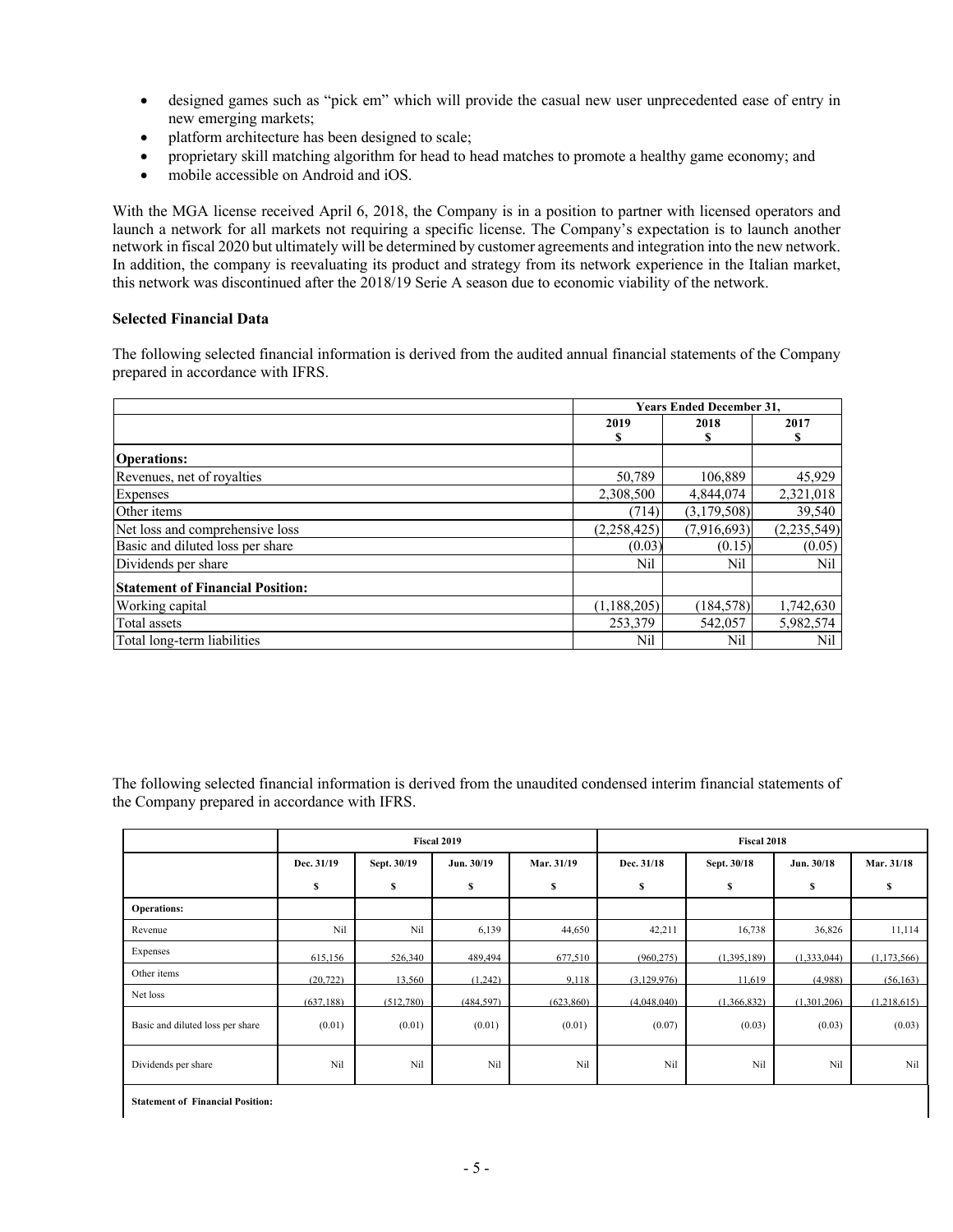- designed games such as "pick em" which will provide the casual new user unprecedented ease of entry in new emerging markets;
- platform architecture has been designed to scale;
- proprietary skill matching algorithm for head to head matches to promote a healthy game economy; and
- mobile accessible on Android and iOS.

With the MGA license received April 6, 2018, the Company is in a position to partner with licensed operators and launch a network for all markets not requiring a specific license. The Company's expectation is to launch another network in fiscal 2020 but ultimately will be determined by customer agreements and integration into the new network. In addition, the company is reevaluating its product and strategy from its network experience in the Italian market, this network was discontinued after the 2018/19 Serie A season due to economic viability of the network.

## **Selected Financial Data**

The following selected financial information is derived from the audited annual financial statements of the Company prepared in accordance with IFRS.

|                                         |               | <b>Years Ended December 31.</b> |               |  |  |
|-----------------------------------------|---------------|---------------------------------|---------------|--|--|
|                                         | 2019          | 2018                            | 2017          |  |  |
|                                         | s             |                                 | S             |  |  |
| <b>Operations:</b>                      |               |                                 |               |  |  |
| Revenues, net of royalties              | 50,789        | 106.889                         | 45,929        |  |  |
| <b>Expenses</b>                         | 2,308,500     | 4,844,074                       | 2,321,018     |  |  |
| Other items                             | (714)         | (3,179,508)                     | 39,540        |  |  |
| Net loss and comprehensive loss         | (2,258,425)   | (7,916,693)                     | (2, 235, 549) |  |  |
| Basic and diluted loss per share        | (0.03)        | (0.15)                          | (0.05)        |  |  |
| Dividends per share                     | Nil           | Nil                             | Nil           |  |  |
| <b>Statement of Financial Position:</b> |               |                                 |               |  |  |
| Working capital                         | (1, 188, 205) | (184, 578)                      | 1,742,630     |  |  |
| Total assets                            | 253,379       | 542,057                         | 5,982,574     |  |  |
| Total long-term liabilities             | Nil           | Nil                             | Nil           |  |  |

The following selected financial information is derived from the unaudited condensed interim financial statements of the Company prepared in accordance with IFRS.

|                                  | Fiscal 2019 |             |            | <b>Fiscal 2018</b> |             |             |             |             |
|----------------------------------|-------------|-------------|------------|--------------------|-------------|-------------|-------------|-------------|
|                                  | Dec. 31/19  | Sept. 30/19 | Jun. 30/19 | Mar. 31/19         | Dec. 31/18  | Sept. 30/18 | Jun. 30/18  | Mar. 31/18  |
|                                  | S           | \$          | S          | \$                 | \$          | \$          | s           | s           |
| <b>Operations:</b>               |             |             |            |                    |             |             |             |             |
| Revenue                          | Nil         | Nil         | 6,139      | 44,650             | 42,211      | 16,738      | 36,826      | 11,114      |
| Expenses                         | 615,156     | 526,340     | 489,494    | 677,510            | (960, 275)  | (1,395,189) | (1,333,044) | (1,173,566) |
| Other items                      | (20, 722)   | 13,560      | (1,242)    | 9,118              | (3,129,976) | 11,619      | (4,988)     | (56, 163)   |
| Net loss                         | (637.188)   | (512,780)   | (484.597)  | (623.860)          | (4.048.040) | (1.366.832) | (1.301.206) | (1,218,615) |
| Basic and diluted loss per share | (0.01)      | (0.01)      | (0.01)     | (0.01)             | (0.07)      | (0.03)      | (0.03)      | (0.03)      |
| Dividends per share              | Nil         | Nil         | Nil        | Nil                | Nil         | Nil         | Nil         | Nil         |

**Statement of Financial Position:**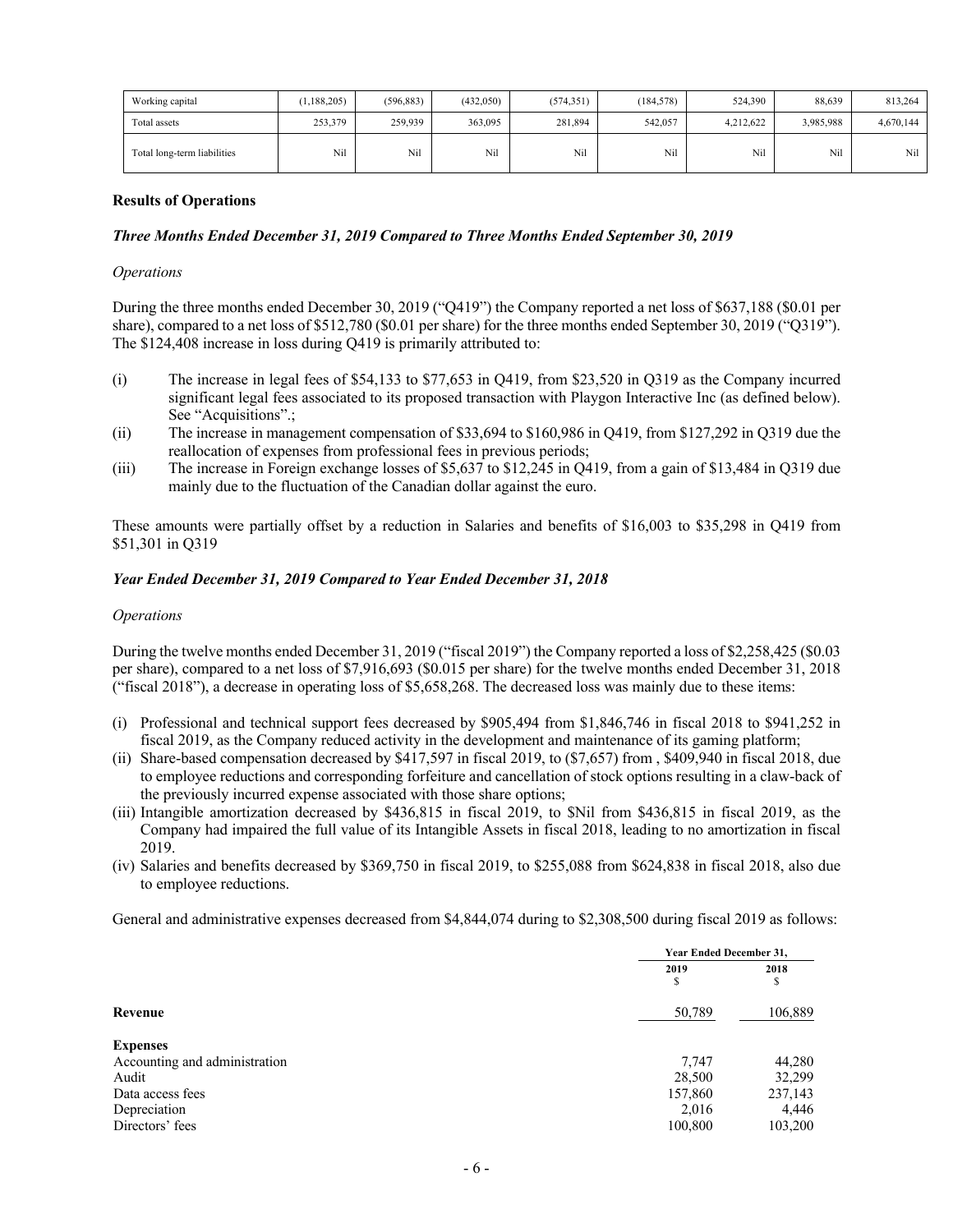| Working capital             | (1.188.205) | (596, 883) | (432,050) | (574, 351) | (184, 578) | 524,390   | 88.639    | 813,264   |
|-----------------------------|-------------|------------|-----------|------------|------------|-----------|-----------|-----------|
| Total assets                | 253,379     | 259,939    | 363,095   | 281,894    | 542,057    | 4.212.622 | 3,985,988 | 4,670,144 |
| Total long-term liabilities | Nil         | Nil        | Nil       | Nil        | Nil        | Nil       | Nil       | Nil       |

#### **Results of Operations**

#### *Three Months Ended December 31, 2019 Compared to Three Months Ended September 30, 2019*

#### *Operations*

During the three months ended December 30, 2019 ("Q419") the Company reported a net loss of \$637,188 (\$0.01 per share), compared to a net loss of \$512,780 (\$0.01 per share) for the three months ended September 30, 2019 ("Q319"). The \$124,408 increase in loss during Q419 is primarily attributed to:

- (i) The increase in legal fees of \$54,133 to \$77,653 in Q419, from \$23,520 in Q319 as the Company incurred significant legal fees associated to its proposed transaction with Playgon Interactive Inc (as defined below). See "Acquisitions".:
- (ii) The increase in management compensation of \$33,694 to \$160,986 in Q419, from \$127,292 in Q319 due the reallocation of expenses from professional fees in previous periods;
- (iii) The increase in Foreign exchange losses of \$5,637 to \$12,245 in Q419, from a gain of \$13,484 in Q319 due mainly due to the fluctuation of the Canadian dollar against the euro.

These amounts were partially offset by a reduction in Salaries and benefits of \$16,003 to \$35,298 in Q419 from \$51,301 in Q319

#### *Year Ended December 31, 2019 Compared to Year Ended December 31, 2018*

#### *Operations*

During the twelve months ended December 31, 2019 ("fiscal 2019") the Company reported a loss of \$2,258,425 (\$0.03 per share), compared to a net loss of \$7,916,693 (\$0.015 per share) for the twelve months ended December 31, 2018 ("fiscal 2018"), a decrease in operating loss of \$5,658,268. The decreased loss was mainly due to these items:

- (i) Professional and technical support fees decreased by \$905,494 from \$1,846,746 in fiscal 2018 to \$941,252 in fiscal 2019, as the Company reduced activity in the development and maintenance of its gaming platform;
- (ii) Share-based compensation decreased by \$417,597 in fiscal 2019, to (\$7,657) from , \$409,940 in fiscal 2018, due to employee reductions and corresponding forfeiture and cancellation of stock options resulting in a claw-back of the previously incurred expense associated with those share options;
- (iii) Intangible amortization decreased by \$436,815 in fiscal 2019, to \$Nil from \$436,815 in fiscal 2019, as the Company had impaired the full value of its Intangible Assets in fiscal 2018, leading to no amortization in fiscal 2019.
- (iv) Salaries and benefits decreased by \$369,750 in fiscal 2019, to \$255,088 from \$624,838 in fiscal 2018, also due to employee reductions.

General and administrative expenses decreased from \$4,844,074 during to \$2,308,500 during fiscal 2019 as follows:

|                               |           | <b>Year Ended December 31.</b> |  |  |
|-------------------------------|-----------|--------------------------------|--|--|
|                               | 2019<br>S | 2018<br>\$                     |  |  |
| Revenue                       | 50,789    | 106,889                        |  |  |
| <b>Expenses</b>               |           |                                |  |  |
| Accounting and administration | 7,747     | 44,280                         |  |  |
| Audit                         | 28,500    | 32,299                         |  |  |
| Data access fees              | 157,860   | 237,143                        |  |  |
| Depreciation                  | 2,016     | 4,446                          |  |  |
| Directors' fees               | 100,800   | 103,200                        |  |  |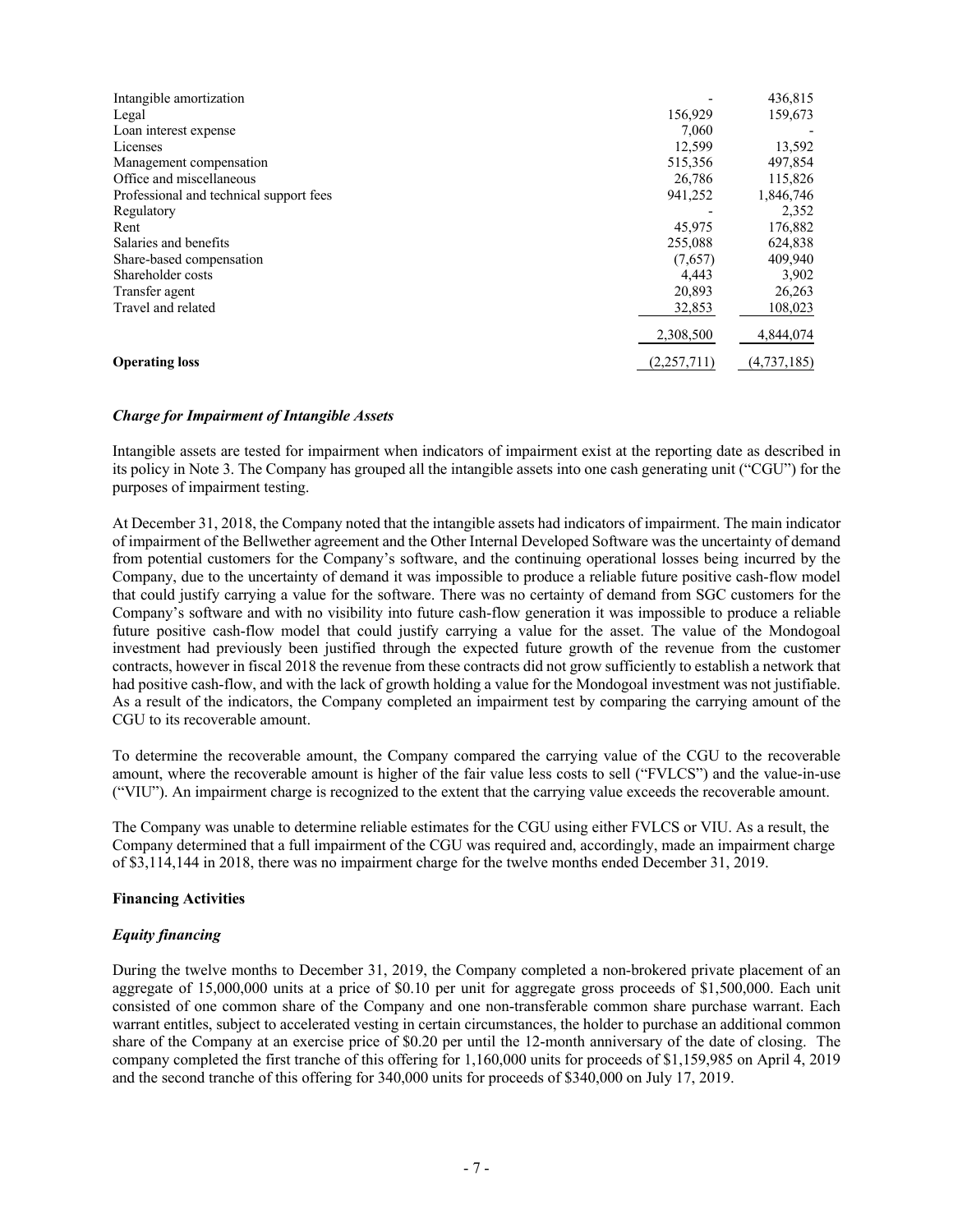| Intangible amortization                 |             | 436,815     |
|-----------------------------------------|-------------|-------------|
| Legal                                   | 156,929     | 159,673     |
| Loan interest expense                   | 7.060       |             |
| Licenses                                | 12,599      | 13,592      |
| Management compensation                 | 515,356     | 497,854     |
| Office and miscellaneous                | 26,786      | 115,826     |
| Professional and technical support fees | 941,252     | 1,846,746   |
| Regulatory                              |             | 2,352       |
| Rent                                    | 45,975      | 176,882     |
| Salaries and benefits                   | 255,088     | 624,838     |
| Share-based compensation                | (7,657)     | 409,940     |
| Shareholder costs                       | 4,443       | 3,902       |
| Transfer agent                          | 20,893      | 26,263      |
| Travel and related                      | 32,853      | 108,023     |
|                                         | 2,308,500   | 4,844,074   |
| <b>Operating loss</b>                   | (2,257,711) | (4,737,185) |

#### *Charge for Impairment of Intangible Assets*

Intangible assets are tested for impairment when indicators of impairment exist at the reporting date as described in its policy in Note 3. The Company has grouped all the intangible assets into one cash generating unit ("CGU") for the purposes of impairment testing.

At December 31, 2018, the Company noted that the intangible assets had indicators of impairment. The main indicator of impairment of the Bellwether agreement and the Other Internal Developed Software was the uncertainty of demand from potential customers for the Company's software, and the continuing operational losses being incurred by the Company, due to the uncertainty of demand it was impossible to produce a reliable future positive cash-flow model that could justify carrying a value for the software. There was no certainty of demand from SGC customers for the Company's software and with no visibility into future cash-flow generation it was impossible to produce a reliable future positive cash-flow model that could justify carrying a value for the asset. The value of the Mondogoal investment had previously been justified through the expected future growth of the revenue from the customer contracts, however in fiscal 2018 the revenue from these contracts did not grow sufficiently to establish a network that had positive cash-flow, and with the lack of growth holding a value for the Mondogoal investment was not justifiable. As a result of the indicators, the Company completed an impairment test by comparing the carrying amount of the CGU to its recoverable amount.

To determine the recoverable amount, the Company compared the carrying value of the CGU to the recoverable amount, where the recoverable amount is higher of the fair value less costs to sell ("FVLCS") and the value-in-use ("VIU"). An impairment charge is recognized to the extent that the carrying value exceeds the recoverable amount.

The Company was unable to determine reliable estimates for the CGU using either FVLCS or VIU. As a result, the Company determined that a full impairment of the CGU was required and, accordingly, made an impairment charge of \$3,114,144 in 2018, there was no impairment charge for the twelve months ended December 31, 2019.

# **Financing Activities**

# *Equity financing*

During the twelve months to December 31, 2019, the Company completed a non-brokered private placement of an aggregate of 15,000,000 units at a price of \$0.10 per unit for aggregate gross proceeds of \$1,500,000. Each unit consisted of one common share of the Company and one non-transferable common share purchase warrant. Each warrant entitles, subject to accelerated vesting in certain circumstances, the holder to purchase an additional common share of the Company at an exercise price of \$0.20 per until the 12-month anniversary of the date of closing. The company completed the first tranche of this offering for 1,160,000 units for proceeds of \$1,159,985 on April 4, 2019 and the second tranche of this offering for 340,000 units for proceeds of \$340,000 on July 17, 2019.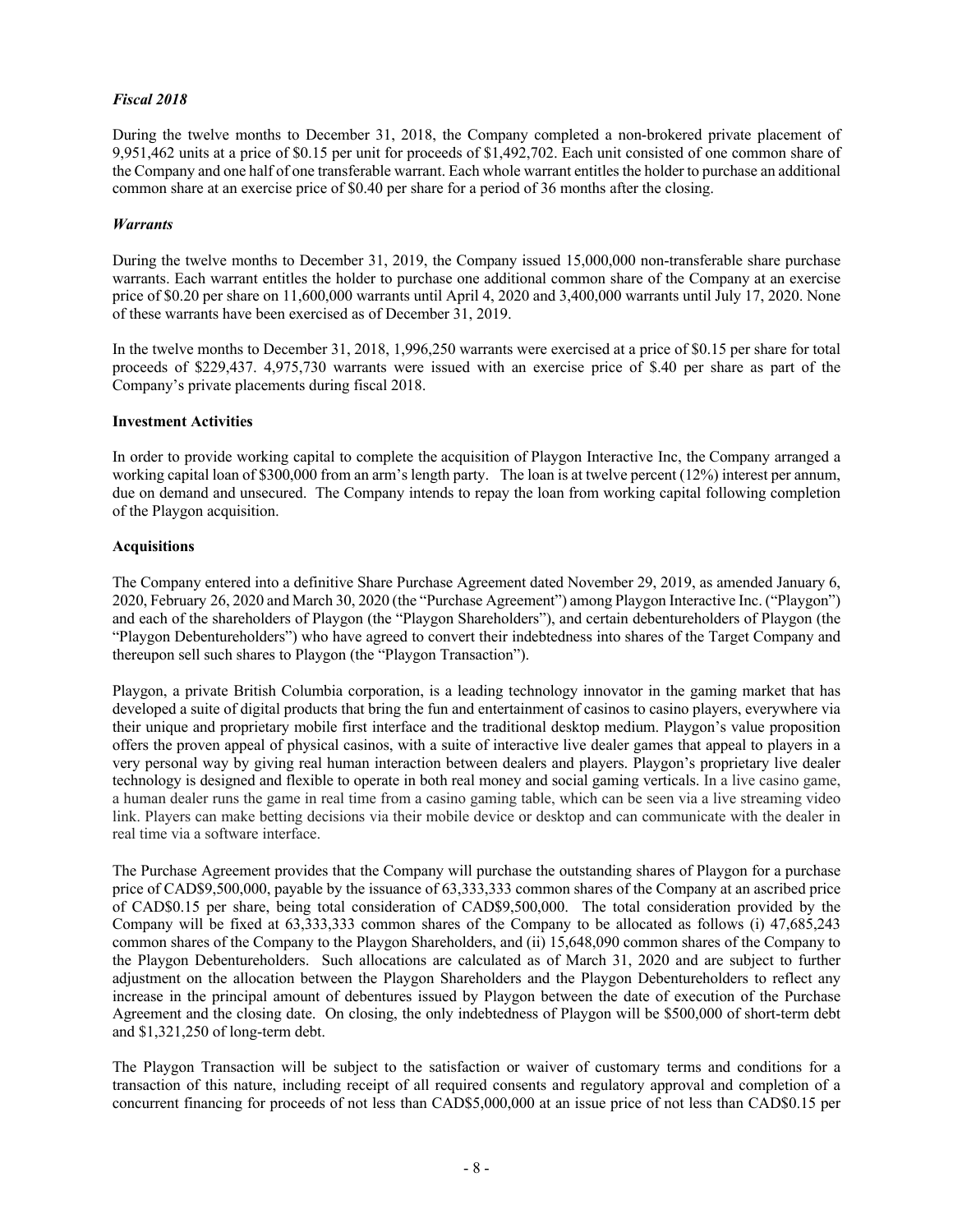# *Fiscal 2018*

During the twelve months to December 31, 2018, the Company completed a non-brokered private placement of 9,951,462 units at a price of \$0.15 per unit for proceeds of \$1,492,702. Each unit consisted of one common share of the Company and one half of one transferable warrant. Each whole warrant entitles the holder to purchase an additional common share at an exercise price of \$0.40 per share for a period of 36 months after the closing.

#### *Warrants*

During the twelve months to December 31, 2019, the Company issued 15,000,000 non-transferable share purchase warrants. Each warrant entitles the holder to purchase one additional common share of the Company at an exercise price of \$0.20 per share on 11,600,000 warrants until April 4, 2020 and 3,400,000 warrants until July 17, 2020. None of these warrants have been exercised as of December 31, 2019.

In the twelve months to December 31, 2018, 1,996,250 warrants were exercised at a price of \$0.15 per share for total proceeds of \$229,437. 4,975,730 warrants were issued with an exercise price of \$.40 per share as part of the Company's private placements during fiscal 2018.

## **Investment Activities**

In order to provide working capital to complete the acquisition of Playgon Interactive Inc, the Company arranged a working capital loan of \$300,000 from an arm's length party. The loan is at twelve percent (12%) interest per annum, due on demand and unsecured. The Company intends to repay the loan from working capital following completion of the Playgon acquisition.

## **Acquisitions**

The Company entered into a definitive Share Purchase Agreement dated November 29, 2019, as amended January 6, 2020, February 26, 2020 and March 30, 2020 (the "Purchase Agreement") among Playgon Interactive Inc. ("Playgon") and each of the shareholders of Playgon (the "Playgon Shareholders"), and certain debentureholders of Playgon (the "Playgon Debentureholders") who have agreed to convert their indebtedness into shares of the Target Company and thereupon sell such shares to Playgon (the "Playgon Transaction").

Playgon, a private British Columbia corporation, is a leading technology innovator in the gaming market that has developed a suite of digital products that bring the fun and entertainment of casinos to casino players, everywhere via their unique and proprietary mobile first interface and the traditional desktop medium. Playgon's value proposition offers the proven appeal of physical casinos, with a suite of interactive live dealer games that appeal to players in a very personal way by giving real human interaction between dealers and players. Playgon's proprietary live dealer technology is designed and flexible to operate in both real money and social gaming verticals. In a live casino game, a human dealer runs the game in real time from a casino gaming table, which can be seen via a live streaming video link. Players can make betting decisions via their mobile device or desktop and can communicate with the dealer in real time via a software interface.

The Purchase Agreement provides that the Company will purchase the outstanding shares of Playgon for a purchase price of CAD\$9,500,000, payable by the issuance of 63,333,333 common shares of the Company at an ascribed price of CAD\$0.15 per share, being total consideration of CAD\$9,500,000. The total consideration provided by the Company will be fixed at 63,333,333 common shares of the Company to be allocated as follows (i) 47,685,243 common shares of the Company to the Playgon Shareholders, and (ii) 15,648,090 common shares of the Company to the Playgon Debentureholders. Such allocations are calculated as of March 31, 2020 and are subject to further adjustment on the allocation between the Playgon Shareholders and the Playgon Debentureholders to reflect any increase in the principal amount of debentures issued by Playgon between the date of execution of the Purchase Agreement and the closing date. On closing, the only indebtedness of Playgon will be \$500,000 of short-term debt and \$1,321,250 of long-term debt.

The Playgon Transaction will be subject to the satisfaction or waiver of customary terms and conditions for a transaction of this nature, including receipt of all required consents and regulatory approval and completion of a concurrent financing for proceeds of not less than CAD\$5,000,000 at an issue price of not less than CAD\$0.15 per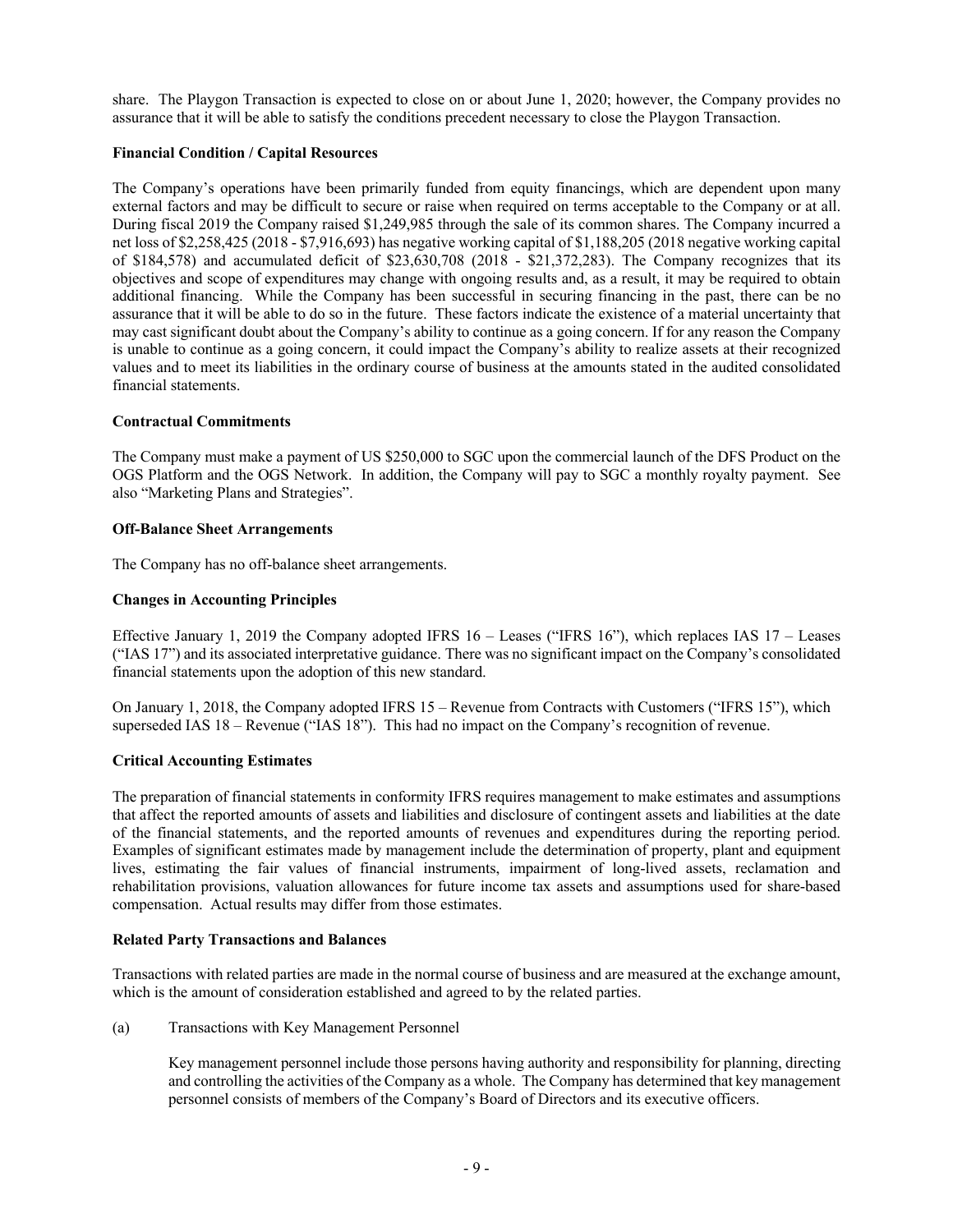share. The Playgon Transaction is expected to close on or about June 1, 2020; however, the Company provides no assurance that it will be able to satisfy the conditions precedent necessary to close the Playgon Transaction.

# **Financial Condition / Capital Resources**

The Company's operations have been primarily funded from equity financings, which are dependent upon many external factors and may be difficult to secure or raise when required on terms acceptable to the Company or at all. During fiscal 2019 the Company raised \$1,249,985 through the sale of its common shares. The Company incurred a net loss of \$2,258,425 (2018 - \$7,916,693) has negative working capital of \$1,188,205 (2018 negative working capital of \$184,578) and accumulated deficit of \$23,630,708 (2018 - \$21,372,283). The Company recognizes that its objectives and scope of expenditures may change with ongoing results and, as a result, it may be required to obtain additional financing. While the Company has been successful in securing financing in the past, there can be no assurance that it will be able to do so in the future. These factors indicate the existence of a material uncertainty that may cast significant doubt about the Company's ability to continue as a going concern. If for any reason the Company is unable to continue as a going concern, it could impact the Company's ability to realize assets at their recognized values and to meet its liabilities in the ordinary course of business at the amounts stated in the audited consolidated financial statements.

## **Contractual Commitments**

The Company must make a payment of US \$250,000 to SGC upon the commercial launch of the DFS Product on the OGS Platform and the OGS Network. In addition, the Company will pay to SGC a monthly royalty payment. See also "Marketing Plans and Strategies".

## **Off-Balance Sheet Arrangements**

The Company has no off-balance sheet arrangements.

## **Changes in Accounting Principles**

Effective January 1, 2019 the Company adopted IFRS  $16 -$  Leases ("IFRS 16"), which replaces IAS  $17 -$  Leases ("IAS 17") and its associated interpretative guidance. There was no significant impact on the Company's consolidated financial statements upon the adoption of this new standard.

On January 1, 2018, the Company adopted IFRS 15 – Revenue from Contracts with Customers ("IFRS 15"), which superseded IAS 18 – Revenue ("IAS 18"). This had no impact on the Company's recognition of revenue.

# **Critical Accounting Estimates**

The preparation of financial statements in conformity IFRS requires management to make estimates and assumptions that affect the reported amounts of assets and liabilities and disclosure of contingent assets and liabilities at the date of the financial statements, and the reported amounts of revenues and expenditures during the reporting period. Examples of significant estimates made by management include the determination of property, plant and equipment lives, estimating the fair values of financial instruments, impairment of long-lived assets, reclamation and rehabilitation provisions, valuation allowances for future income tax assets and assumptions used for share-based compensation. Actual results may differ from those estimates.

#### **Related Party Transactions and Balances**

Transactions with related parties are made in the normal course of business and are measured at the exchange amount, which is the amount of consideration established and agreed to by the related parties.

(a) Transactions with Key Management Personnel

Key management personnel include those persons having authority and responsibility for planning, directing and controlling the activities of the Company as a whole. The Company has determined that key management personnel consists of members of the Company's Board of Directors and its executive officers.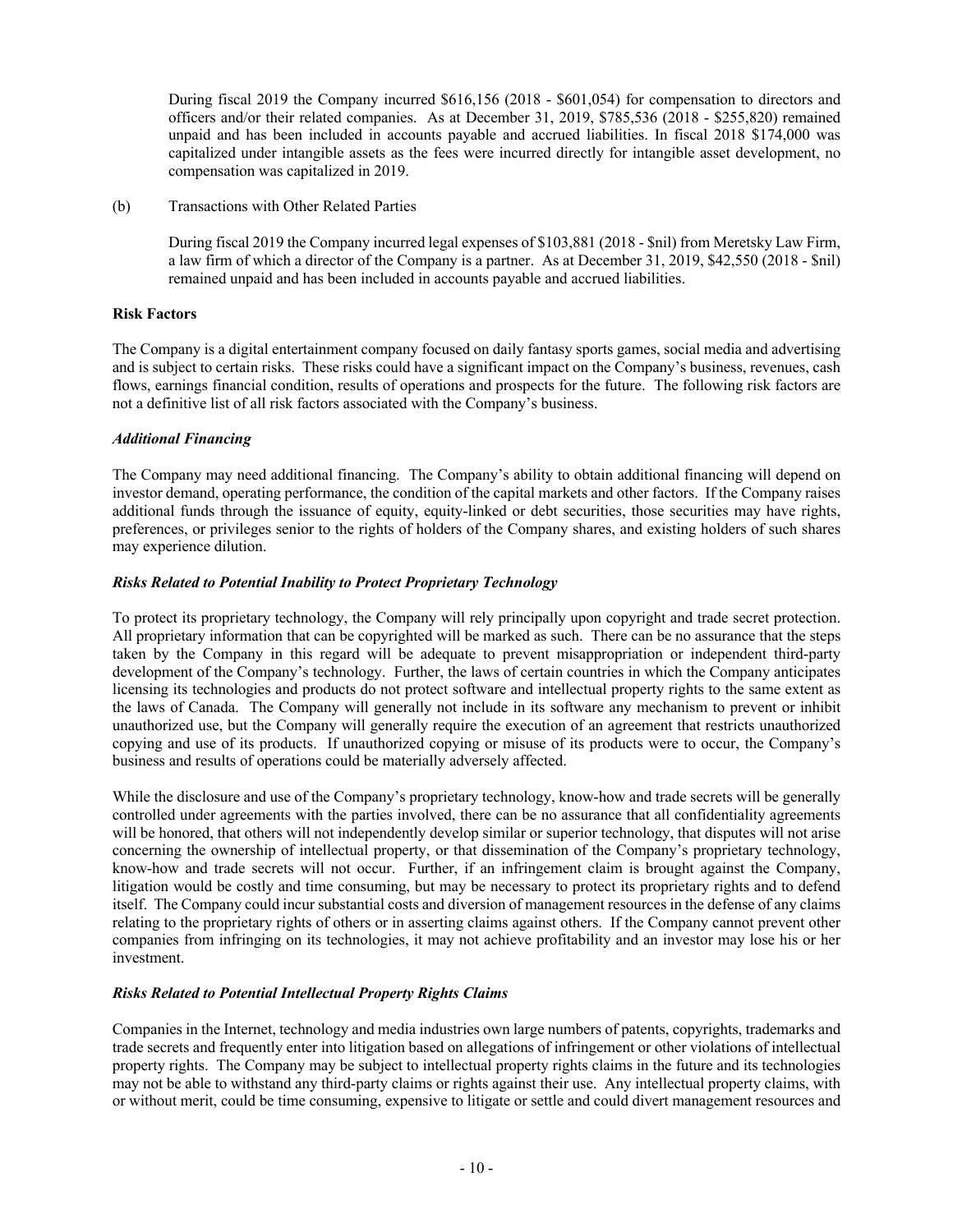During fiscal 2019 the Company incurred \$616,156 (2018 - \$601,054) for compensation to directors and officers and/or their related companies. As at December 31, 2019, \$785,536 (2018 - \$255,820) remained unpaid and has been included in accounts payable and accrued liabilities. In fiscal 2018 \$174,000 was capitalized under intangible assets as the fees were incurred directly for intangible asset development, no compensation was capitalized in 2019.

(b) Transactions with Other Related Parties

During fiscal 2019 the Company incurred legal expenses of \$103,881 (2018 - \$nil) from Meretsky Law Firm, a law firm of which a director of the Company is a partner. As at December 31, 2019, \$42,550 (2018 - \$nil) remained unpaid and has been included in accounts payable and accrued liabilities.

## **Risk Factors**

The Company is a digital entertainment company focused on daily fantasy sports games, social media and advertising and is subject to certain risks. These risks could have a significant impact on the Company's business, revenues, cash flows, earnings financial condition, results of operations and prospects for the future. The following risk factors are not a definitive list of all risk factors associated with the Company's business.

## *Additional Financing*

The Company may need additional financing. The Company's ability to obtain additional financing will depend on investor demand, operating performance, the condition of the capital markets and other factors. If the Company raises additional funds through the issuance of equity, equity-linked or debt securities, those securities may have rights, preferences, or privileges senior to the rights of holders of the Company shares, and existing holders of such shares may experience dilution.

# *Risks Related to Potential Inability to Protect Proprietary Technology*

To protect its proprietary technology, the Company will rely principally upon copyright and trade secret protection. All proprietary information that can be copyrighted will be marked as such. There can be no assurance that the steps taken by the Company in this regard will be adequate to prevent misappropriation or independent third-party development of the Company's technology. Further, the laws of certain countries in which the Company anticipates licensing its technologies and products do not protect software and intellectual property rights to the same extent as the laws of Canada. The Company will generally not include in its software any mechanism to prevent or inhibit unauthorized use, but the Company will generally require the execution of an agreement that restricts unauthorized copying and use of its products. If unauthorized copying or misuse of its products were to occur, the Company's business and results of operations could be materially adversely affected.

While the disclosure and use of the Company's proprietary technology, know-how and trade secrets will be generally controlled under agreements with the parties involved, there can be no assurance that all confidentiality agreements will be honored, that others will not independently develop similar or superior technology, that disputes will not arise concerning the ownership of intellectual property, or that dissemination of the Company's proprietary technology, know-how and trade secrets will not occur. Further, if an infringement claim is brought against the Company, litigation would be costly and time consuming, but may be necessary to protect its proprietary rights and to defend itself. The Company could incur substantial costs and diversion of management resources in the defense of any claims relating to the proprietary rights of others or in asserting claims against others. If the Company cannot prevent other companies from infringing on its technologies, it may not achieve profitability and an investor may lose his or her investment.

# *Risks Related to Potential Intellectual Property Rights Claims*

Companies in the Internet, technology and media industries own large numbers of patents, copyrights, trademarks and trade secrets and frequently enter into litigation based on allegations of infringement or other violations of intellectual property rights. The Company may be subject to intellectual property rights claims in the future and its technologies may not be able to withstand any third-party claims or rights against their use. Any intellectual property claims, with or without merit, could be time consuming, expensive to litigate or settle and could divert management resources and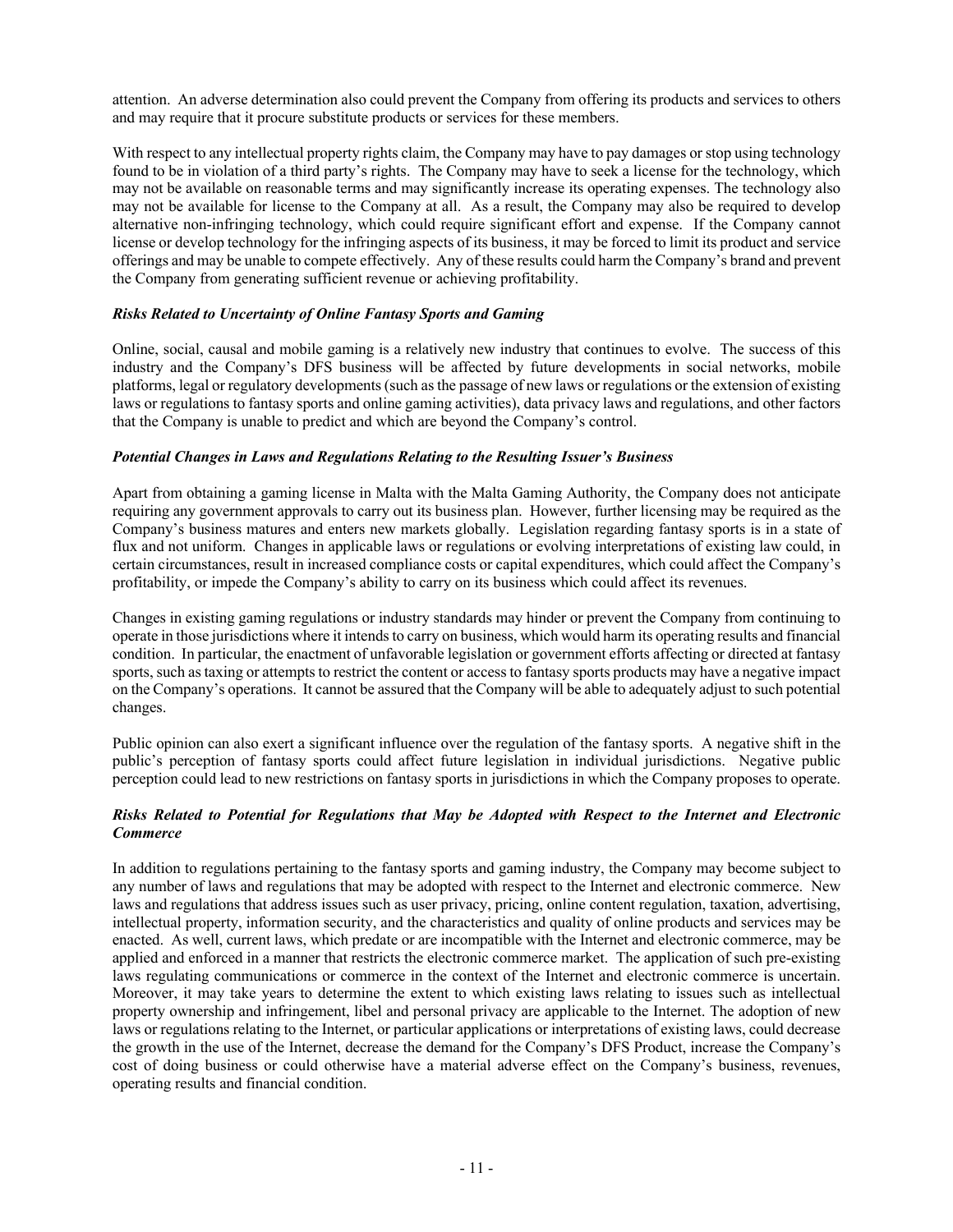attention. An adverse determination also could prevent the Company from offering its products and services to others and may require that it procure substitute products or services for these members.

With respect to any intellectual property rights claim, the Company may have to pay damages or stop using technology found to be in violation of a third party's rights. The Company may have to seek a license for the technology, which may not be available on reasonable terms and may significantly increase its operating expenses. The technology also may not be available for license to the Company at all. As a result, the Company may also be required to develop alternative non-infringing technology, which could require significant effort and expense. If the Company cannot license or develop technology for the infringing aspects of its business, it may be forced to limit its product and service offerings and may be unable to compete effectively. Any of these results could harm the Company's brand and prevent the Company from generating sufficient revenue or achieving profitability.

# *Risks Related to Uncertainty of Online Fantasy Sports and Gaming*

Online, social, causal and mobile gaming is a relatively new industry that continues to evolve. The success of this industry and the Company's DFS business will be affected by future developments in social networks, mobile platforms, legal or regulatory developments (such as the passage of new laws or regulations or the extension of existing laws or regulations to fantasy sports and online gaming activities), data privacy laws and regulations, and other factors that the Company is unable to predict and which are beyond the Company's control.

# *Potential Changes in Laws and Regulations Relating to the Resulting Issuer's Business*

Apart from obtaining a gaming license in Malta with the Malta Gaming Authority, the Company does not anticipate requiring any government approvals to carry out its business plan. However, further licensing may be required as the Company's business matures and enters new markets globally. Legislation regarding fantasy sports is in a state of flux and not uniform. Changes in applicable laws or regulations or evolving interpretations of existing law could, in certain circumstances, result in increased compliance costs or capital expenditures, which could affect the Company's profitability, or impede the Company's ability to carry on its business which could affect its revenues.

Changes in existing gaming regulations or industry standards may hinder or prevent the Company from continuing to operate in those jurisdictions where it intends to carry on business, which would harm its operating results and financial condition. In particular, the enactment of unfavorable legislation or government efforts affecting or directed at fantasy sports, such as taxing or attempts to restrict the content or access to fantasy sports products may have a negative impact on the Company's operations. It cannot be assured that the Company will be able to adequately adjust to such potential changes.

Public opinion can also exert a significant influence over the regulation of the fantasy sports. A negative shift in the public's perception of fantasy sports could affect future legislation in individual jurisdictions. Negative public perception could lead to new restrictions on fantasy sports in jurisdictions in which the Company proposes to operate.

# *Risks Related to Potential for Regulations that May be Adopted with Respect to the Internet and Electronic Commerce*

In addition to regulations pertaining to the fantasy sports and gaming industry, the Company may become subject to any number of laws and regulations that may be adopted with respect to the Internet and electronic commerce. New laws and regulations that address issues such as user privacy, pricing, online content regulation, taxation, advertising, intellectual property, information security, and the characteristics and quality of online products and services may be enacted. As well, current laws, which predate or are incompatible with the Internet and electronic commerce, may be applied and enforced in a manner that restricts the electronic commerce market. The application of such pre-existing laws regulating communications or commerce in the context of the Internet and electronic commerce is uncertain. Moreover, it may take years to determine the extent to which existing laws relating to issues such as intellectual property ownership and infringement, libel and personal privacy are applicable to the Internet. The adoption of new laws or regulations relating to the Internet, or particular applications or interpretations of existing laws, could decrease the growth in the use of the Internet, decrease the demand for the Company's DFS Product, increase the Company's cost of doing business or could otherwise have a material adverse effect on the Company's business, revenues, operating results and financial condition.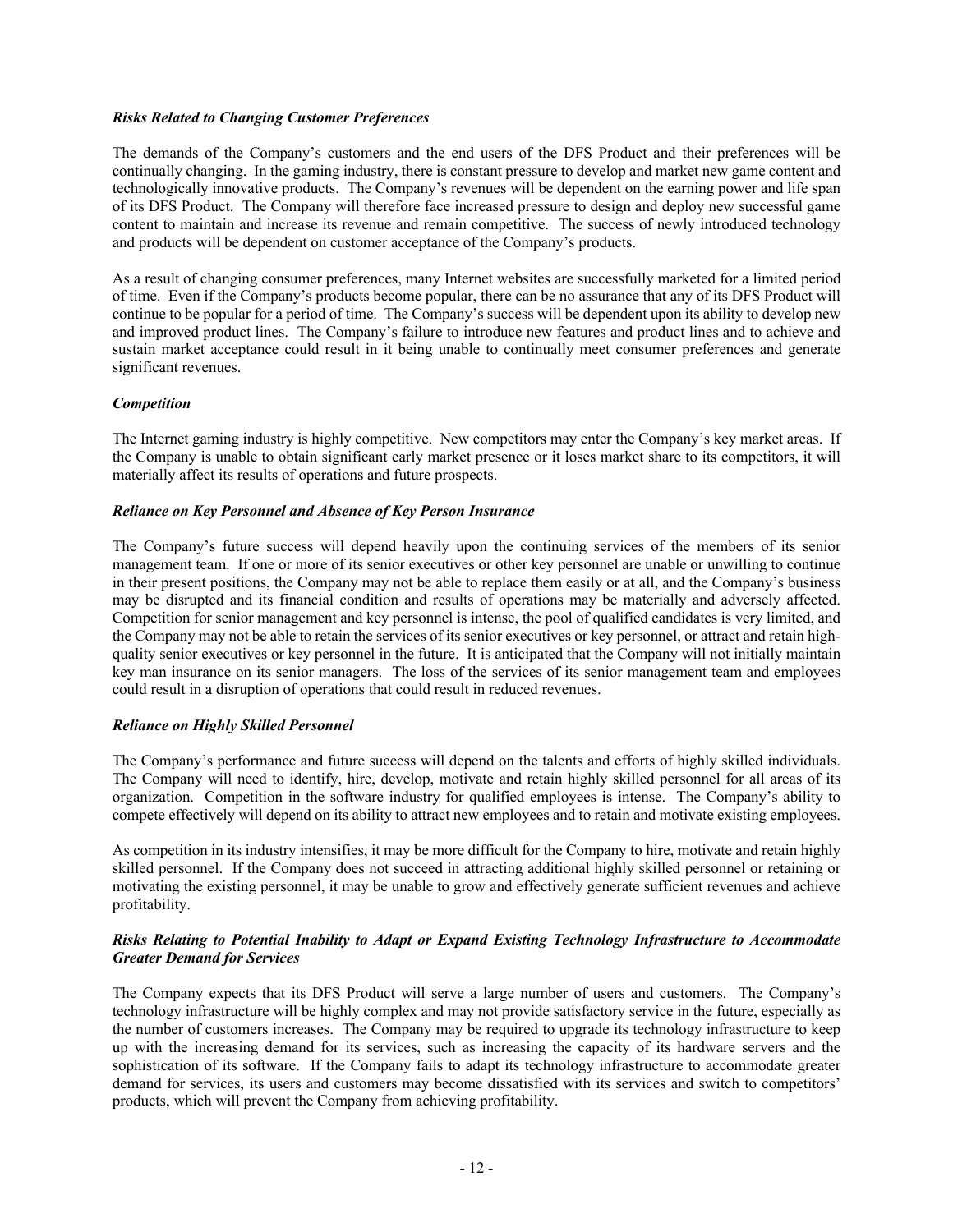## *Risks Related to Changing Customer Preferences*

The demands of the Company's customers and the end users of the DFS Product and their preferences will be continually changing. In the gaming industry, there is constant pressure to develop and market new game content and technologically innovative products. The Company's revenues will be dependent on the earning power and life span of its DFS Product. The Company will therefore face increased pressure to design and deploy new successful game content to maintain and increase its revenue and remain competitive. The success of newly introduced technology and products will be dependent on customer acceptance of the Company's products.

As a result of changing consumer preferences, many Internet websites are successfully marketed for a limited period of time. Even if the Company's products become popular, there can be no assurance that any of its DFS Product will continue to be popular for a period of time. The Company's success will be dependent upon its ability to develop new and improved product lines. The Company's failure to introduce new features and product lines and to achieve and sustain market acceptance could result in it being unable to continually meet consumer preferences and generate significant revenues.

## *Competition*

The Internet gaming industry is highly competitive. New competitors may enter the Company's key market areas. If the Company is unable to obtain significant early market presence or it loses market share to its competitors, it will materially affect its results of operations and future prospects.

## *Reliance on Key Personnel and Absence of Key Person Insurance*

The Company's future success will depend heavily upon the continuing services of the members of its senior management team. If one or more of its senior executives or other key personnel are unable or unwilling to continue in their present positions, the Company may not be able to replace them easily or at all, and the Company's business may be disrupted and its financial condition and results of operations may be materially and adversely affected. Competition for senior management and key personnel is intense, the pool of qualified candidates is very limited, and the Company may not be able to retain the services of its senior executives or key personnel, or attract and retain highquality senior executives or key personnel in the future. It is anticipated that the Company will not initially maintain key man insurance on its senior managers. The loss of the services of its senior management team and employees could result in a disruption of operations that could result in reduced revenues.

#### *Reliance on Highly Skilled Personnel*

The Company's performance and future success will depend on the talents and efforts of highly skilled individuals. The Company will need to identify, hire, develop, motivate and retain highly skilled personnel for all areas of its organization. Competition in the software industry for qualified employees is intense. The Company's ability to compete effectively will depend on its ability to attract new employees and to retain and motivate existing employees.

As competition in its industry intensifies, it may be more difficult for the Company to hire, motivate and retain highly skilled personnel. If the Company does not succeed in attracting additional highly skilled personnel or retaining or motivating the existing personnel, it may be unable to grow and effectively generate sufficient revenues and achieve profitability.

# *Risks Relating to Potential Inability to Adapt or Expand Existing Technology Infrastructure to Accommodate Greater Demand for Services*

The Company expects that its DFS Product will serve a large number of users and customers. The Company's technology infrastructure will be highly complex and may not provide satisfactory service in the future, especially as the number of customers increases. The Company may be required to upgrade its technology infrastructure to keep up with the increasing demand for its services, such as increasing the capacity of its hardware servers and the sophistication of its software. If the Company fails to adapt its technology infrastructure to accommodate greater demand for services, its users and customers may become dissatisfied with its services and switch to competitors' products, which will prevent the Company from achieving profitability.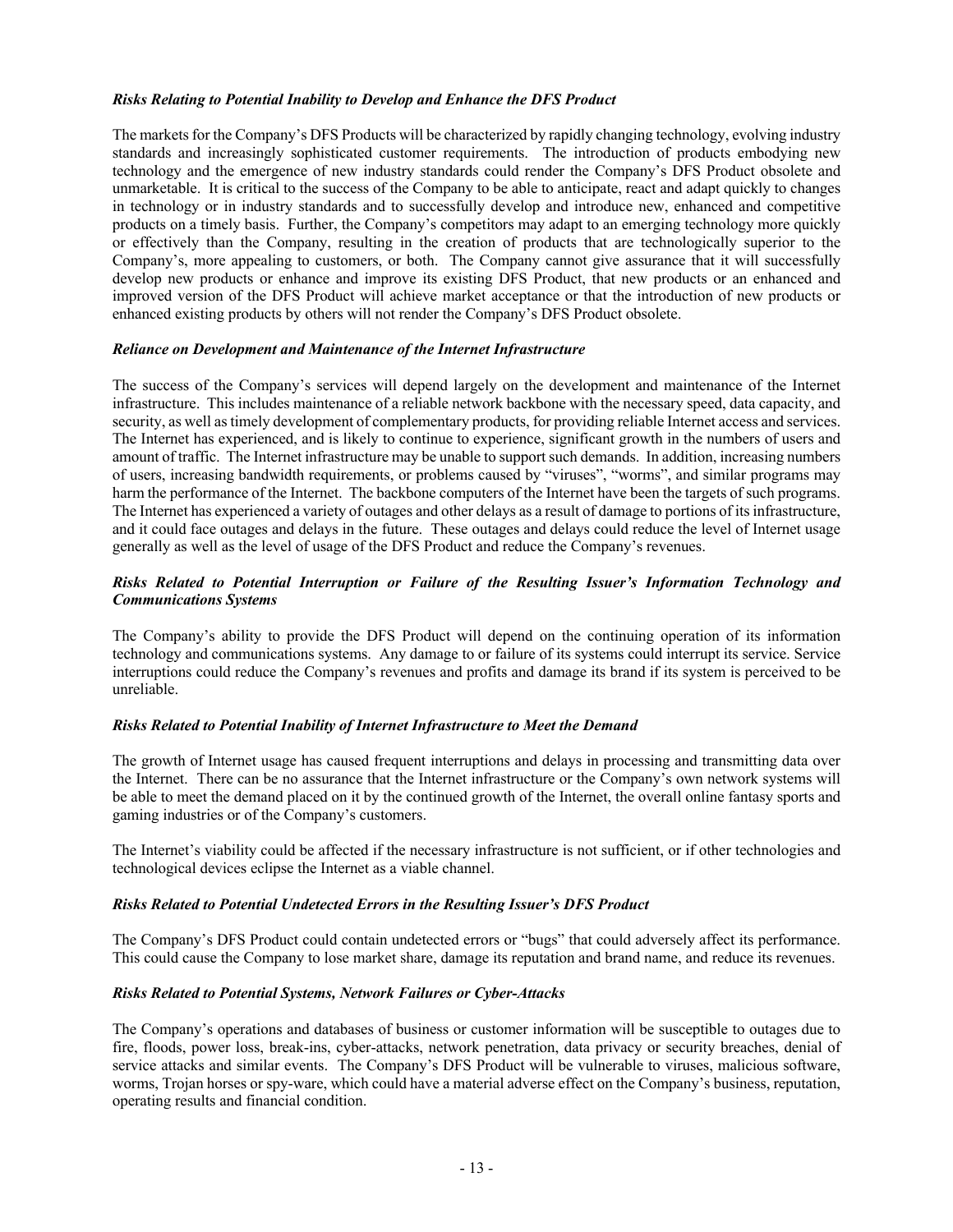## *Risks Relating to Potential Inability to Develop and Enhance the DFS Product*

The markets for the Company's DFS Products will be characterized by rapidly changing technology, evolving industry standards and increasingly sophisticated customer requirements. The introduction of products embodying new technology and the emergence of new industry standards could render the Company's DFS Product obsolete and unmarketable. It is critical to the success of the Company to be able to anticipate, react and adapt quickly to changes in technology or in industry standards and to successfully develop and introduce new, enhanced and competitive products on a timely basis. Further, the Company's competitors may adapt to an emerging technology more quickly or effectively than the Company, resulting in the creation of products that are technologically superior to the Company's, more appealing to customers, or both. The Company cannot give assurance that it will successfully develop new products or enhance and improve its existing DFS Product, that new products or an enhanced and improved version of the DFS Product will achieve market acceptance or that the introduction of new products or enhanced existing products by others will not render the Company's DFS Product obsolete.

## *Reliance on Development and Maintenance of the Internet Infrastructure*

The success of the Company's services will depend largely on the development and maintenance of the Internet infrastructure. This includes maintenance of a reliable network backbone with the necessary speed, data capacity, and security, as well as timely development of complementary products, for providing reliable Internet access and services. The Internet has experienced, and is likely to continue to experience, significant growth in the numbers of users and amount of traffic. The Internet infrastructure may be unable to support such demands. In addition, increasing numbers of users, increasing bandwidth requirements, or problems caused by "viruses", "worms", and similar programs may harm the performance of the Internet. The backbone computers of the Internet have been the targets of such programs. The Internet has experienced a variety of outages and other delays as a result of damage to portions of its infrastructure, and it could face outages and delays in the future. These outages and delays could reduce the level of Internet usage generally as well as the level of usage of the DFS Product and reduce the Company's revenues.

# *Risks Related to Potential Interruption or Failure of the Resulting Issuer's Information Technology and Communications Systems*

The Company's ability to provide the DFS Product will depend on the continuing operation of its information technology and communications systems. Any damage to or failure of its systems could interrupt its service. Service interruptions could reduce the Company's revenues and profits and damage its brand if its system is perceived to be unreliable.

#### *Risks Related to Potential Inability of Internet Infrastructure to Meet the Demand*

The growth of Internet usage has caused frequent interruptions and delays in processing and transmitting data over the Internet. There can be no assurance that the Internet infrastructure or the Company's own network systems will be able to meet the demand placed on it by the continued growth of the Internet, the overall online fantasy sports and gaming industries or of the Company's customers.

The Internet's viability could be affected if the necessary infrastructure is not sufficient, or if other technologies and technological devices eclipse the Internet as a viable channel.

#### *Risks Related to Potential Undetected Errors in the Resulting Issuer's DFS Product*

The Company's DFS Product could contain undetected errors or "bugs" that could adversely affect its performance. This could cause the Company to lose market share, damage its reputation and brand name, and reduce its revenues.

#### *Risks Related to Potential Systems, Network Failures or Cyber-Attacks*

The Company's operations and databases of business or customer information will be susceptible to outages due to fire, floods, power loss, break-ins, cyber-attacks, network penetration, data privacy or security breaches, denial of service attacks and similar events. The Company's DFS Product will be vulnerable to viruses, malicious software, worms, Trojan horses or spy-ware, which could have a material adverse effect on the Company's business, reputation, operating results and financial condition.